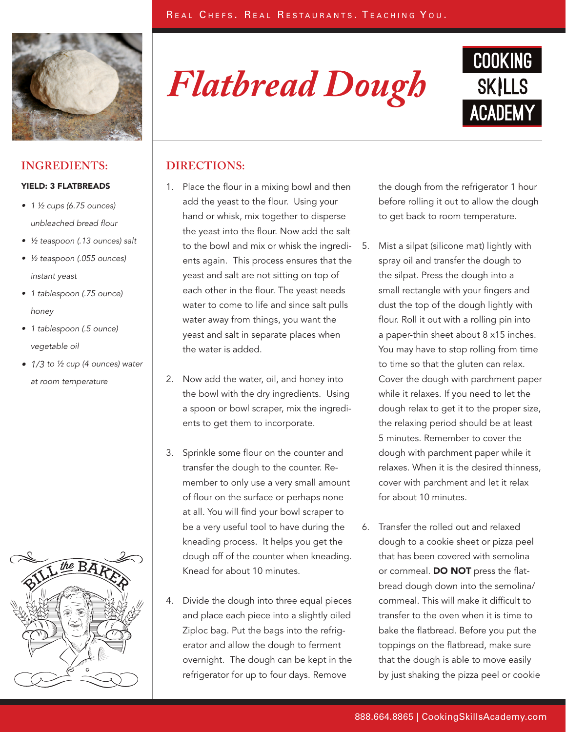

## **INGREDIENTS:**

### YIELD: 3 FLATBREADS

- $\bullet$  1  $\frac{1}{2}$  cups (6.75 ounces) unbleached bread flour
- ½ teaspoon (.13 ounces) salt
- • ½ teaspoon (.055 ounces) instant yeast
- 1 tablespoon (.75 ounce) honey
- 1 tablespoon (.5 ounce) vegetable oil
- $\bullet$  1/3 to ½ cup (4 ounces) water at room temperature



*Flatbread Dough*



## **DIRECTIONS:**

- 1. Place the flour in a mixing bowl and then add the yeast to the flour. Using your hand or whisk, mix together to disperse the yeast into the flour. Now add the salt to the bowl and mix or whisk the ingredients again. This process ensures that the yeast and salt are not sitting on top of each other in the flour. The yeast needs water to come to life and since salt pulls water away from things, you want the yeast and salt in separate places when the water is added.
- 2. Now add the water, oil, and honey into the bowl with the dry ingredients. Using a spoon or bowl scraper, mix the ingredients to get them to incorporate.
- 3. Sprinkle some flour on the counter and transfer the dough to the counter. Remember to only use a very small amount of flour on the surface or perhaps none at all. You will find your bowl scraper to be a very useful tool to have during the kneading process. It helps you get the dough off of the counter when kneading. Knead for about 10 minutes.
- 4. Divide the dough into three equal pieces and place each piece into a slightly oiled Ziploc bag. Put the bags into the refrigerator and allow the dough to ferment overnight. The dough can be kept in the refrigerator for up to four days. Remove

the dough from the refrigerator 1 hour before rolling it out to allow the dough to get back to room temperature.

- 5. Mist a silpat (silicone mat) lightly with spray oil and transfer the dough to the silpat. Press the dough into a small rectangle with your fingers and dust the top of the dough lightly with flour. Roll it out with a rolling pin into a paper-thin sheet about 8 x15 inches. You may have to stop rolling from time to time so that the gluten can relax. Cover the dough with parchment paper while it relaxes. If you need to let the dough relax to get it to the proper size, the relaxing period should be at least 5 minutes. Remember to cover the dough with parchment paper while it relaxes. When it is the desired thinness, cover with parchment and let it relax for about 10 minutes.
- 6. Transfer the rolled out and relaxed dough to a cookie sheet or pizza peel that has been covered with semolina or cornmeal. DO NOT press the flatbread dough down into the semolina/ cornmeal. This will make it difficult to transfer to the oven when it is time to bake the flatbread. Before you put the toppings on the flatbread, make sure that the dough is able to move easily by just shaking the pizza peel or cookie